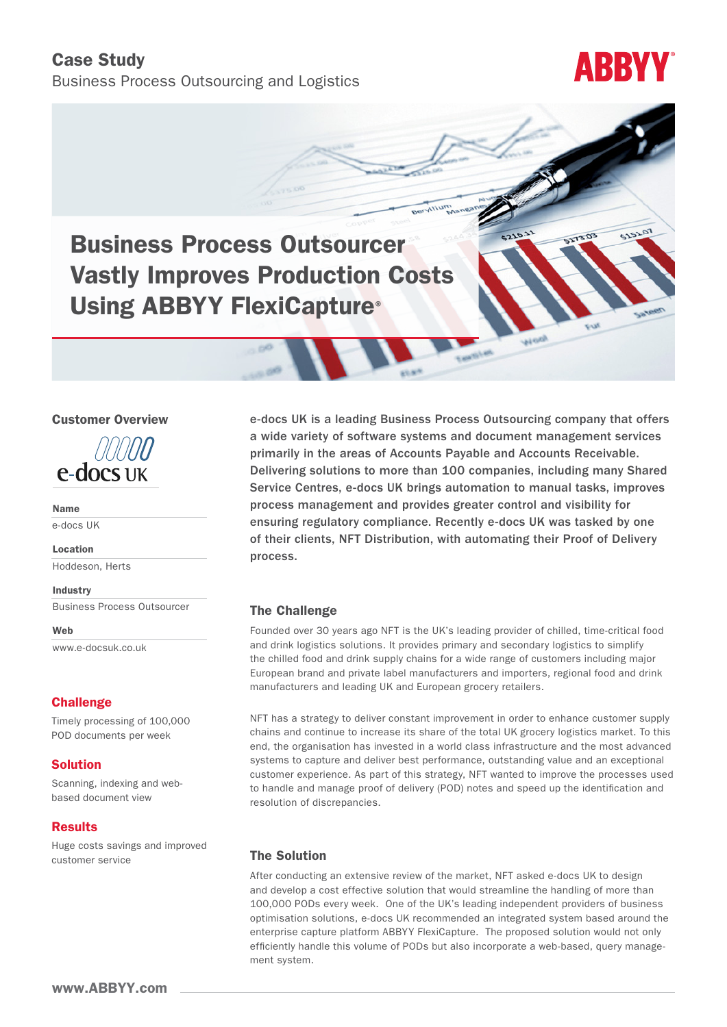### Case Study

Business Process Outsourcing and Logistics

# **ABBYY**

5151.07

**EDETIE** 

ai od

## Business Process Outsourcer Vastly Improves Production Costs Using ABBYY FlexiCapture®

#### Customer Overview



Name

e-docs UK

Location Hoddeson, Herts

Industry Business Process Outsourcer

Web [www.e-docsuk.co.uk](http://www.e-docsuk.co.uk)

#### **Challenge**

Timely processing of 100,000 POD documents per week

#### Solution

Scanning, indexing and webbased document view

#### Results

Huge costs savings and improved customer service

e-docs UK is a leading Business Process Outsourcing company that offers a wide variety of software systems and document management services primarily in the areas of Accounts Payable and Accounts Receivable. Delivering solutions to more than 100 companies, including many Shared Service Centres, e-docs UK brings automation to manual tasks, improves process management and provides greater control and visibility for ensuring regulatory compliance. Recently e-docs UK was tasked by one of their clients, NFT Distribution, with automating their Proof of Delivery process.

#### The Challenge

Founded over 30 years ago NFT is the UK's leading provider of chilled, time-critical food and drink logistics solutions. It provides primary and secondary logistics to simplify the chilled food and drink supply chains for a wide range of customers including major European brand and private label manufacturers and importers, regional food and drink manufacturers and leading UK and European grocery retailers.

NFT has a strategy to deliver constant improvement in order to enhance customer supply chains and continue to increase its share of the total UK grocery logistics market. To this end, the organisation has invested in a world class infrastructure and the most advanced systems to capture and deliver best performance, outstanding value and an exceptional customer experience. As part of this strategy, NFT wanted to improve the processes used to handle and manage proof of delivery (POD) notes and speed up the identification and resolution of discrepancies.

#### The Solution

After conducting an extensive review of the market, NFT asked e-docs UK to design and develop a cost effective solution that would streamline the handling of more than 100,000 PODs every week. One of the UK's leading independent providers of business optimisation solutions, e-docs UK recommended an integrated system based around the enterprise capture platform ABBYY FlexiCapture. The proposed solution would not only efficiently handle this volume of PODs but also incorporate a web-based, query management system.